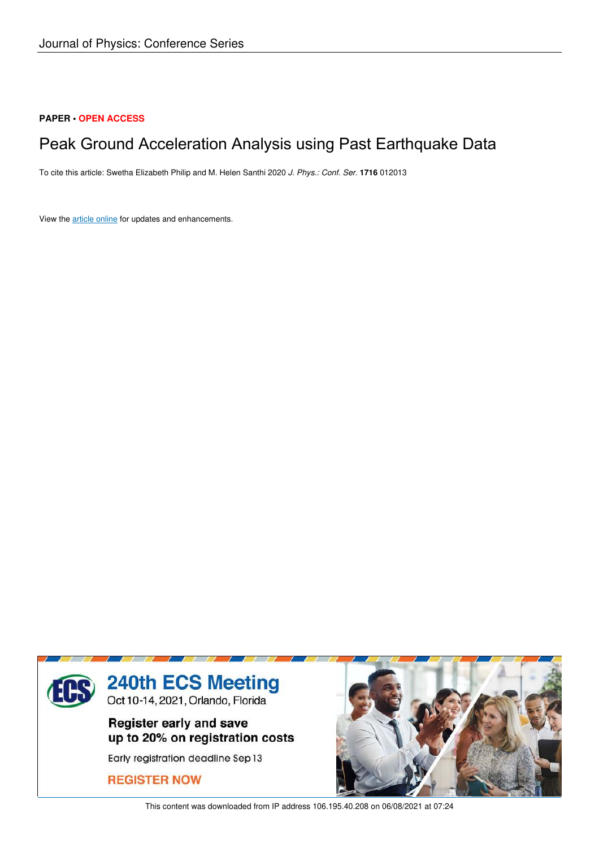### **PAPER • OPEN ACCESS**

# Peak Ground Acceleration Analysis using Past Earthquake Data

To cite this article: Swetha Elizabeth Philip and M. Helen Santhi 2020 *J. Phys.: Conf. Ser.* **1716** 012013

View the article online for updates and enhancements.



This content was downloaded from IP address 106.195.40.208 on 06/08/2021 at 07:24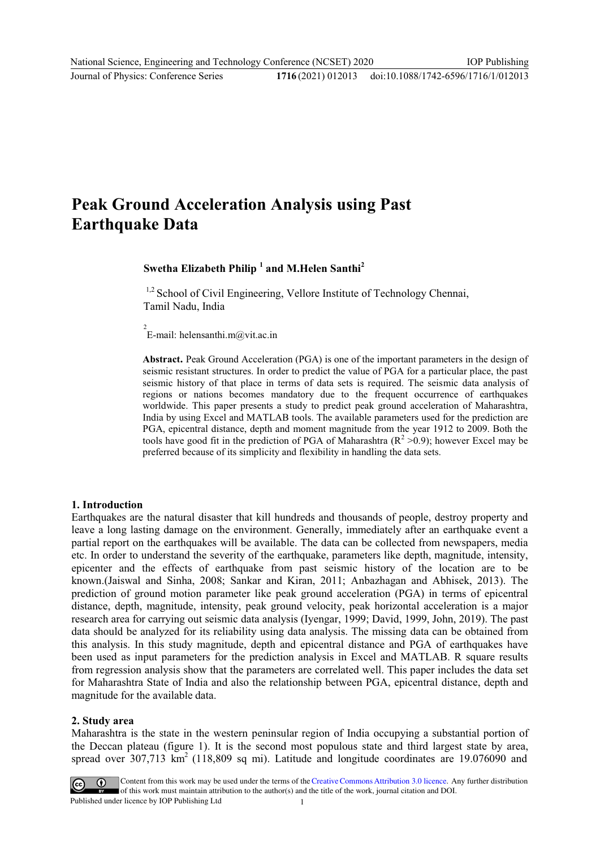## **Peak Ground Acceleration Analysis using Past Earthquake Data**

## **Swetha Elizabeth Philip <sup>1</sup> and M.Helen Santhi<sup>2</sup>**

<sup>1,2</sup> School of Civil Engineering, Vellore Institute of Technology Chennai, Tamil Nadu, India

2 E-mail: helensanthi.m@vit.ac.in

**Abstract.** Peak Ground Acceleration (PGA) is one of the important parameters in the design of seismic resistant structures. In order to predict the value of PGA for a particular place, the past seismic history of that place in terms of data sets is required. The seismic data analysis of regions or nations becomes mandatory due to the frequent occurrence of earthquakes worldwide. This paper presents a study to predict peak ground acceleration of Maharashtra, India by using Excel and MATLAB tools. The available parameters used for the prediction are PGA, epicentral distance, depth and moment magnitude from the year 1912 to 2009. Both the tools have good fit in the prediction of PGA of Maharashtra  $(R^2 > 0.9)$ ; however Excel may be preferred because of its simplicity and flexibility in handling the data sets.

#### **1. Introduction**

Earthquakes are the natural disaster that kill hundreds and thousands of people, destroy property and leave a long lasting damage on the environment. Generally, immediately after an earthquake event a partial report on the earthquakes will be available. The data can be collected from newspapers, media etc. In order to understand the severity of the earthquake, parameters like depth, magnitude, intensity, epicenter and the effects of earthquake from past seismic history of the location are to be known.(Jaiswal and Sinha, 2008; Sankar and Kiran, 2011; Anbazhagan and Abhisek, 2013). The prediction of ground motion parameter like peak ground acceleration (PGA) in terms of epicentral distance, depth, magnitude, intensity, peak ground velocity, peak horizontal acceleration is a major research area for carrying out seismic data analysis (Iyengar, 1999; David, 1999, John, 2019). The past data should be analyzed for its reliability using data analysis. The missing data can be obtained from this analysis. In this study magnitude, depth and epicentral distance and PGA of earthquakes have been used as input parameters for the prediction analysis in Excel and MATLAB. R square results from regression analysis show that the parameters are correlated well. This paper includes the data set for Maharashtra State of India and also the relationship between PGA, epicentral distance, depth and magnitude for the available data.

#### **2. Study area**

Maharashtra is the state in the western peninsular region of India occupying a substantial portion of the Deccan plateau (figure 1). It is the second most populous state and third largest state by area, spread over  $307,713$  km<sup>2</sup> (118,809 sq mi). Latitude and longitude coordinates are 19.076090 and



Content from this work may be used under the terms of the Creative Commons Attribution 3.0 licence. Any further distribution of this work must maintain attribution to the author(s) and the title of the work, journal citation and DOI. Published under licence by IOP Publishing Ltd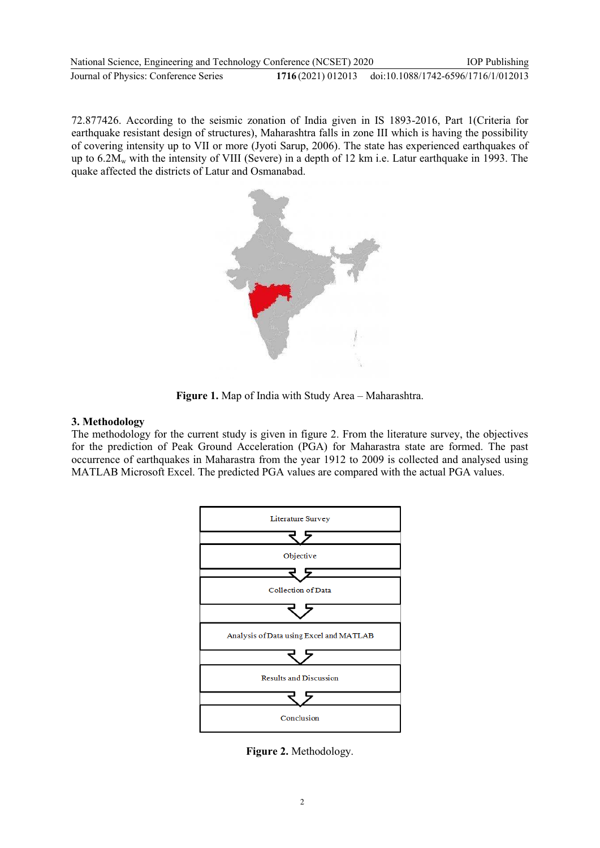| National Science, Engineering and Technology Conference (NCSET) 2020 | <b>IOP</b> Publishing                                 |
|----------------------------------------------------------------------|-------------------------------------------------------|
| Journal of Physics: Conference Series                                | 1716(2021) 012013 doi:10.1088/1742-6596/1716/1/012013 |

72.877426. According to the seismic zonation of India given in IS 1893-2016, Part 1(Criteria for earthquake resistant design of structures), Maharashtra falls in zone III which is having the possibility of covering intensity up to VII or more (Jyoti Sarup, 2006). The state has experienced earthquakes of up to  $6.2M_w$  with the intensity of VIII (Severe) in a depth of 12 km i.e. Latur earthquake in 1993. The quake affected the districts of Latur and Osmanabad.



**Figure 1.** Map of India with Study Area – Maharashtra.

#### **3. Methodology**

The methodology for the current study is given in figure 2. From the literature survey, the objectives for the prediction of Peak Ground Acceleration (PGA) for Maharastra state are formed. The past occurrence of earthquakes in Maharastra from the year 1912 to 2009 is collected and analysed using MATLAB Microsoft Excel. The predicted PGA values are compared with the actual PGA values.



**Figure 2.** Methodology.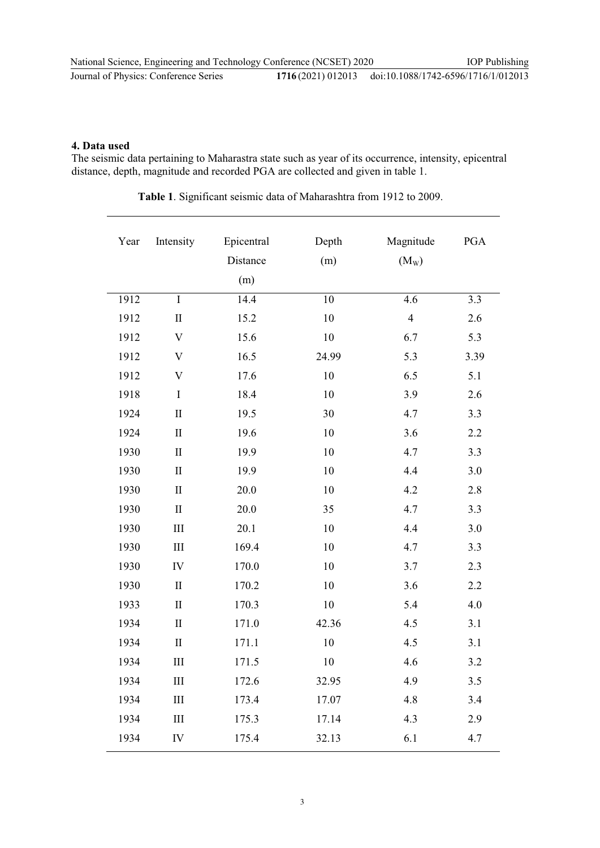#### **4. Data used**

The seismic data pertaining to Maharastra state such as year of its occurrence, intensity, epicentral distance, depth, magnitude and recorded PGA are collected and given in table 1.

**Table 1**. Significant seismic data of Maharashtra from 1912 to 2009.

| Year | Intensity                 | Epicentral<br>Distance | Depth<br>(m) | Magnitude<br>$(M_W)$ | PGA  |
|------|---------------------------|------------------------|--------------|----------------------|------|
|      |                           | (m)                    |              |                      |      |
| 1912 | $\bf I$                   | 14.4                   | 10           | 4.6                  | 3.3  |
| 1912 | $\mathbf{I}$              | 15.2                   | 10           | $\overline{4}$       | 2.6  |
| 1912 | $\boldsymbol{\mathrm{V}}$ | 15.6                   | 10           | 6.7                  | 5.3  |
| 1912 | $\ensuremath{\mathbf{V}}$ | 16.5                   | 24.99        | 5.3                  | 3.39 |
| 1912 | $\boldsymbol{\mathrm{V}}$ | 17.6                   | 10           | 6.5                  | 5.1  |
| 1918 | $\bf I$                   | 18.4                   | 10           | 3.9                  | 2.6  |
| 1924 | $\rm II$                  | 19.5                   | 30           | 4.7                  | 3.3  |
| 1924 | $\mathbf{I}$              | 19.6                   | 10           | 3.6                  | 2.2  |
| 1930 | $\mathbf{I}$              | 19.9                   | 10           | 4.7                  | 3.3  |
| 1930 | $\mathbf{I}$              | 19.9                   | 10           | 4.4                  | 3.0  |
| 1930 | $\rm II$                  | 20.0                   | 10           | 4.2                  | 2.8  |
| 1930 | $\rm II$                  | 20.0                   | 35           | 4.7                  | 3.3  |
| 1930 | III                       | 20.1                   | 10           | 4.4                  | 3.0  |
| 1930 | $\rm III$                 | 169.4                  | 10           | 4.7                  | 3.3  |
| 1930 | IV                        | 170.0                  | 10           | 3.7                  | 2.3  |
| 1930 | $\mathbf{I}$              | 170.2                  | 10           | 3.6                  | 2.2  |
| 1933 | $\mathbf{I}$              | 170.3                  | 10           | 5.4                  | 4.0  |
| 1934 | $\rm II$                  | 171.0                  | 42.36        | 4.5                  | 3.1  |
| 1934 | $\rm II$                  | 171.1                  | 10           | 4.5                  | 3.1  |
| 1934 | $\rm III$                 | 171.5                  | 10           | 4.6                  | 3.2  |
| 1934 | $\rm III$                 | 172.6                  | 32.95        | 4.9                  | 3.5  |
| 1934 | $\rm III$                 | 173.4                  | 17.07        | 4.8                  | 3.4  |
| 1934 | $\rm III$                 | 175.3                  | 17.14        | 4.3                  | 2.9  |
| 1934 | IV                        | 175.4                  | 32.13        | 6.1                  | 4.7  |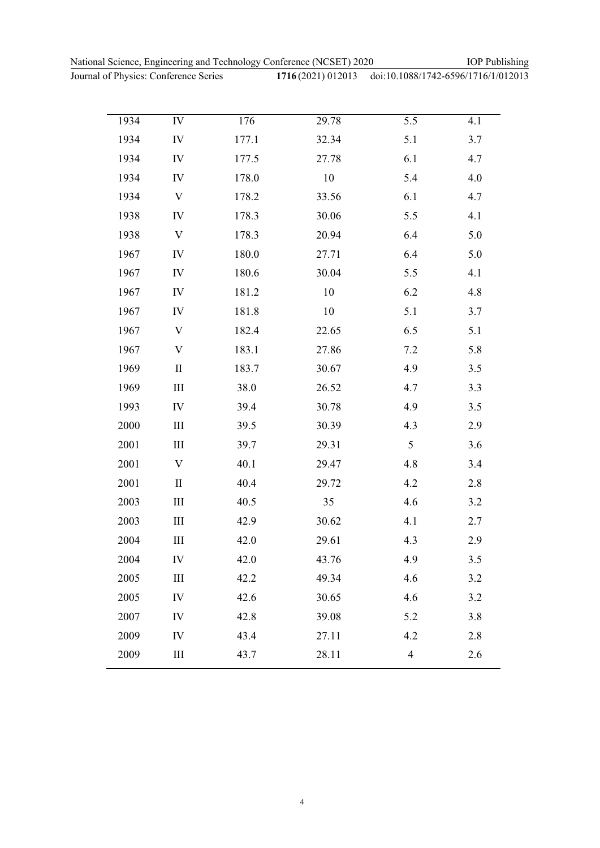Journal of Physics: Conference Series **1716** (2021) 012013

IOP Publishing

| hysics: Conference Series |    |       | 1716(2021) 012013 doi:10.1088/1742-6596/1716/1/012013 |     |     |  |
|---------------------------|----|-------|-------------------------------------------------------|-----|-----|--|
|                           |    |       |                                                       |     |     |  |
| 1934                      | IV | 176   | 29.78                                                 | 5.5 | 4.1 |  |
| 1934                      | IV | 177.1 | 32.34                                                 | 5.1 | 3.7 |  |
| 1934                      | IV | 177.5 | 27.78                                                 | 6.1 | 4.7 |  |
| 1934                      | IV | 178.0 | 10                                                    | 5.4 | 4.0 |  |
| 1934                      | V  | 178.2 | 33.56                                                 | 6.1 | 4.7 |  |
| 1938                      | IV | 178.3 | 30.06                                                 | 5.5 | 4.1 |  |
| 1938                      | V  | 178.3 | 20.94                                                 | 6.4 | 5.0 |  |
| 1967                      | IV | 180.0 | 27.71                                                 | 6.4 | 5.0 |  |
| 1967                      | IV | 180.6 | 30.04                                                 | 5.5 | 4.1 |  |
|                           |    |       |                                                       |     |     |  |

| 1934 | 1V                          | 178.0 | 10     | 5.4            | 4.0     |
|------|-----------------------------|-------|--------|----------------|---------|
| 1934 | $\ensuremath{\mathbf{V}}$   | 178.2 | 33.56  | 6.1            | 4.7     |
| 1938 | ${\rm IV}$                  | 178.3 | 30.06  | 5.5            | 4.1     |
| 1938 | $\ensuremath{\mathbf{V}}$   | 178.3 | 20.94  | 6.4            | 5.0     |
| 1967 | ${\rm IV}$                  | 180.0 | 27.71  | 6.4            | 5.0     |
| 1967 | ${\rm IV}$                  | 180.6 | 30.04  | 5.5            | 4.1     |
| 1967 | IV                          | 181.2 | $10\,$ | 6.2            | 4.8     |
| 1967 | ${\rm IV}$                  | 181.8 | 10     | 5.1            | 3.7     |
| 1967 | $\mathbf{V}$                | 182.4 | 22.65  | 6.5            | 5.1     |
| 1967 | $\boldsymbol{\mathrm{V}}$   | 183.1 | 27.86  | 7.2            | 5.8     |
| 1969 | $\rm II$                    | 183.7 | 30.67  | 4.9            | 3.5     |
| 1969 | $\rm III$                   | 38.0  | 26.52  | 4.7            | 3.3     |
| 1993 | IV                          | 39.4  | 30.78  | 4.9            | 3.5     |
| 2000 | $\rm III$                   | 39.5  | 30.39  | 4.3            | 2.9     |
| 2001 | $\rm III$                   | 39.7  | 29.31  | 5              | 3.6     |
| 2001 | $\boldsymbol{\mathrm{V}}$   | 40.1  | 29.47  | 4.8            | 3.4     |
| 2001 | $\mathbf{I}$                | 40.4  | 29.72  | 4.2            | 2.8     |
| 2003 | $\mathop{\rm III}\nolimits$ | 40.5  | 35     | 4.6            | 3.2     |
| 2003 | $\rm III$                   | 42.9  | 30.62  | 4.1            | 2.7     |
| 2004 | $\rm III$                   | 42.0  | 29.61  | 4.3            | 2.9     |
| 2004 | ${\rm IV}$                  | 42.0  | 43.76  | 4.9            | 3.5     |
| 2005 | $\rm III$                   | 42.2  | 49.34  | 4.6            | $3.2\,$ |
| 2005 | ${\rm IV}$                  | 42.6  | 30.65  | 4.6            | 3.2     |
| 2007 | ${\rm IV}$                  | 42.8  | 39.08  | 5.2            | 3.8     |
| 2009 | ${\rm IV}$                  | 43.4  | 27.11  | 4.2            | 2.8     |
| 2009 | III                         | 43.7  | 28.11  | $\overline{4}$ | 2.6     |
|      |                             |       |        |                |         |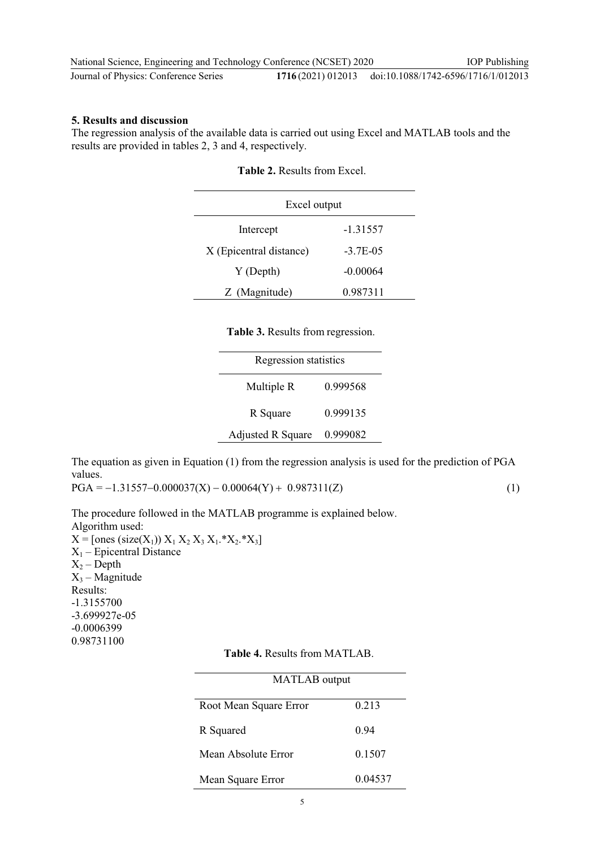| National Science, Engineering and Technology Conference (NCSET) 2020 | <b>IOP</b> Publishing                                 |
|----------------------------------------------------------------------|-------------------------------------------------------|
| Journal of Physics: Conference Series                                | 1716(2021) 012013 doi:10.1088/1742-6596/1716/1/012013 |

### **5. Results and discussion**

The regression analysis of the available data is carried out using Excel and MATLAB tools and the results are provided in tables 2, 3 and 4, respectively.

| Excel output            |             |  |  |
|-------------------------|-------------|--|--|
| Intercept               | -1.31557    |  |  |
| X (Epicentral distance) | $-3.7E-0.5$ |  |  |
| Y (Depth)               | $-0.00064$  |  |  |
| Z (Magnitude)           | 0.987311    |  |  |

| <b>Table 2.</b> Results from Excel. |  |
|-------------------------------------|--|
|-------------------------------------|--|

|  | Table 3. Results from regression. |
|--|-----------------------------------|
|  |                                   |

| <b>Regression statistics</b> |          |  |  |
|------------------------------|----------|--|--|
| Multiple R                   | 0.999568 |  |  |
| R Square                     | 0.999135 |  |  |
| <b>Adjusted R Square</b>     | 0.999082 |  |  |

The equation as given in Equation (1) from the regression analysis is used for the prediction of PGA values.

 $PGA = -1.31557 - 0.000037(X) - 0.00064(Y) + 0.987311(Z)$  (1)

The procedure followed in the MATLAB programme is explained below. Algorithm used:  $X =$ [ones (size(X<sub>1</sub>))  $X_1 X_2 X_3 X_1.*X_2.*X_3$ ]  $X_1$  – Epicentral Distance  $X_2$  – Depth  $X_3$  – Magnitude Results: -1.3155700 -3.699927e-05 -0.0006399

0.98731100

|  |  |  | <b>Table 4. Results from MATLAB.</b> |
|--|--|--|--------------------------------------|
|--|--|--|--------------------------------------|

| MATLAB output          |         |
|------------------------|---------|
| Root Mean Square Error | 0.213   |
| R Squared              | 0.94    |
| Mean Absolute Error    | 0.1507  |
| Mean Square Error      | 0.04537 |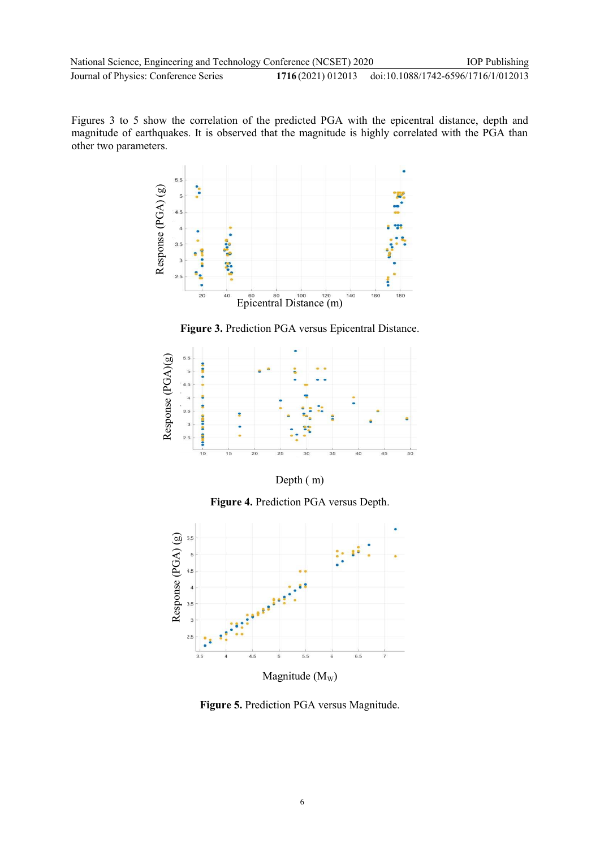Figures 3 to 5 show the correlation of the predicted PGA with the epicentral distance, depth and magnitude of earthquakes. It is observed that the magnitude is highly correlated with the PGA than other two parameters.



**Figure 3.** Prediction PGA versus Epicentral Distance.



Depth ( m)

**Figure 4.** Prediction PGA versus Depth.



**Figure 5.** Prediction PGA versus Magnitude.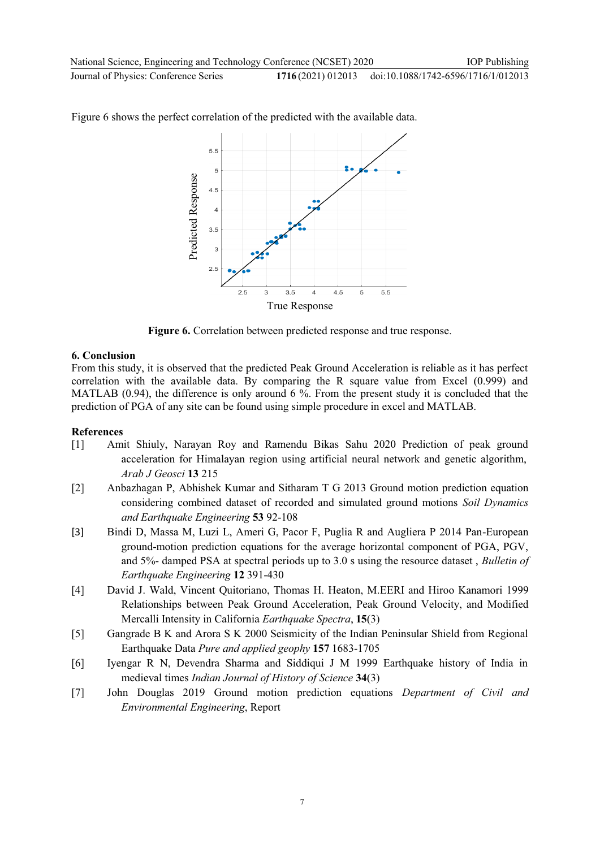IOP Publishing

Figure 6 shows the perfect correlation of the predicted with the available data.



**Figure 6.** Correlation between predicted response and true response.

#### **6. Conclusion**

From this study, it is observed that the predicted Peak Ground Acceleration is reliable as it has perfect correlation with the available data. By comparing the R square value from Excel (0.999) and MATLAB (0.94), the difference is only around 6 %. From the present study it is concluded that the prediction of PGA of any site can be found using simple procedure in excel and MATLAB.

#### **References**

- [1] Amit Shiuly, Narayan Roy and Ramendu Bikas Sahu 2020 Prediction of peak ground acceleration for Himalayan region using artificial neural network and genetic algorithm, *Arab J Geosci* **13** 215
- [2] Anbazhagan P, Abhishek Kumar and Sitharam T G 2013 Ground motion prediction equation considering combined dataset of recorded and simulated ground motions *Soil Dynamics and Earthquake Engineering* **53** 92-108
- [3] Bindi D, Massa M, Luzi L, Ameri G, Pacor F, Puglia R and Augliera P 2014 Pan-European ground-motion prediction equations for the average horizontal component of PGA, PGV, and 5%- damped PSA at spectral periods up to 3.0 s using the resource dataset , *Bulletin of Earthquake Engineering* **12** 391-430
- [4] David J. Wald, Vincent Quitoriano, Thomas H. Heaton, M.EERI and Hiroo Kanamori 1999 Relationships between Peak Ground Acceleration, Peak Ground Velocity, and Modified Mercalli Intensity in California *Earthquake Spectra*, **15**(3)
- [5] Gangrade B K and Arora S K 2000 Seismicity of the Indian Peninsular Shield from Regional Earthquake Data *Pure and applied geophy* **157** 1683-1705
- [6] Iyengar R N, Devendra Sharma and Siddiqui J M 1999 Earthquake history of India in medieval times *Indian Journal of History of Science* **34**(3)
- [7] John Douglas 2019 Ground motion prediction equations *Department of Civil and*